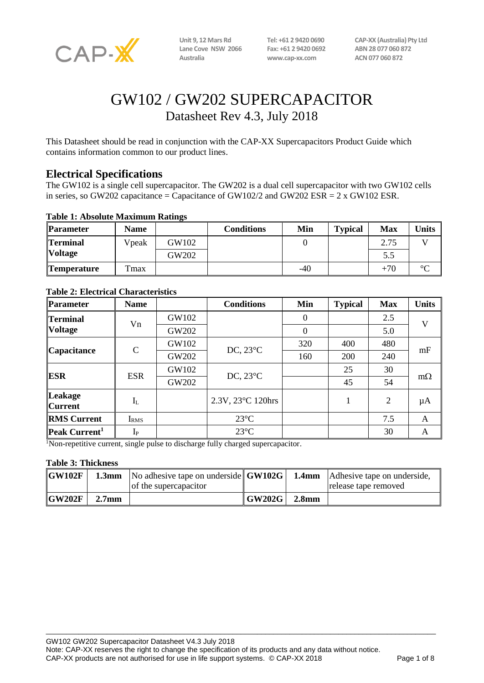

**Lane Cove NSW 2066 Fax: +61 2 9420 0692 ABN 28 077 060 872 Australia www.cap-xx.com ACN 077 060 872**

**Unit 9, 12 Mars Rd Tel: +61 2 9420 0690 CAP-XX (Australia) Pty Ltd**

# GW102 / GW202 SUPERCAPACITOR Datasheet Rev 4.3, July 2018

This Datasheet should be read in conjunction with the CAP-XX Supercapacitors Product Guide which contains information common to our product lines.

## **Electrical Specifications**

The GW102 is a single cell supercapacitor. The GW202 is a dual cell supercapacitor with two GW102 cells in series, so GW202 capacitance = Capacitance of GW102/2 and GW202 ESR =  $2 \times$  GW102 ESR.

#### **Table 1: Absolute Maximum Ratings**

| <b>Parameter</b>   | <b>Name</b>      |       | Conditions | Min   | <b>Typical</b> | <b>Max</b> | <b>Units</b> |
|--------------------|------------------|-------|------------|-------|----------------|------------|--------------|
| <b>Terminal</b>    | Vpeak            | GW102 |            |       |                | 2.75       |              |
| <b>Voltage</b>     |                  | GW202 |            |       |                | 5.5        |              |
| <b>Temperature</b> | T <sub>max</sub> |       |            | $-40$ |                | $+70$      | $\circ$      |

| <b>Parameter</b>                  | <b>Name</b>      |       | <b>Conditions</b>  | Min            | <b>Typical</b> | <b>Max</b> | <b>Units</b> |
|-----------------------------------|------------------|-------|--------------------|----------------|----------------|------------|--------------|
| <b>Terminal</b><br><b>Voltage</b> | Vn               | GW102 |                    | $\theta$       |                | 2.5        | V            |
|                                   |                  | GW202 |                    | $\overline{0}$ |                | 5.0        |              |
| <b>Capacitance</b>                | $\mathcal{C}$    | GW102 | DC, $23^{\circ}$ C | 320            | 400            | 480        | mF           |
|                                   |                  | GW202 |                    | 160            | 200            | 240        |              |
| <b>ESR</b>                        | <b>ESR</b>       | GW102 | DC, $23^{\circ}$ C |                | 25             | 30         | $m\Omega$    |
|                                   |                  | GW202 |                    |                | 45             | 54         |              |
| <b>Leakage</b><br><b>Current</b>  | $I_{L}$          |       | 2.3V, 23°C 120hrs  |                |                | 2          | $\mu A$      |
| <b>RMS Current</b>                | I <sub>RMS</sub> |       | $23^{\circ}$ C     |                |                | 7.5        | A            |
| Peak Current <sup>1</sup>         | $I_{P}$          |       | $23^{\circ}C$      |                |                | 30         | A            |

#### **Table 2: Electrical Characteristics**

<sup>1</sup>Non-repetitive current, single pulse to discharge fully charged supercapacitor.

#### **Table 3: Thickness**

| $\overline{\textbf{GW102F}}$ |                   | <b>1.3mm</b> No adhesive tape on underside <b>GW102G</b> 1.4mm Adhesive tape on underside,<br>of the supercapacitor |                      |       | release tape removed |
|------------------------------|-------------------|---------------------------------------------------------------------------------------------------------------------|----------------------|-------|----------------------|
| GW202F                       | 2.7 <sub>mm</sub> |                                                                                                                     | $\mid$ GW202G $\mid$ | 2.8mm |                      |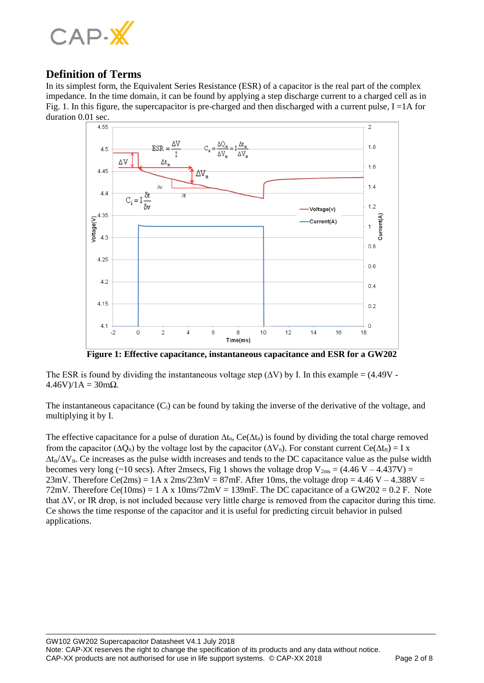

## **Definition of Terms**

In its simplest form, the Equivalent Series Resistance (ESR) of a capacitor is the real part of the complex impedance. In the time domain, it can be found by applying a step discharge current to a charged cell as in Fig. 1. In this figure, the supercapacitor is pre-charged and then discharged with a current pulse,  $I = 1A$  for duration 0.01 sec.



**Figure 1: Effective capacitance, instantaneous capacitance and ESR for a GW202**

The ESR is found by dividing the instantaneous voltage step  $(\Delta V)$  by I. In this example = (4.49V - $4.46V$ )/1A = 30mΩ.

The instantaneous capacitance  $(C_i)$  can be found by taking the inverse of the derivative of the voltage, and multiplying it by I.

The effective capacitance for a pulse of duration  $\Delta t_n$ , Ce( $\Delta t_n$ ) is found by dividing the total charge removed from the capacitor ( $\Delta Q_n$ ) by the voltage lost by the capacitor ( $\Delta V_n$ ). For constant current Ce( $\Delta t_n$ ) = I x  $\Delta t_n/\Delta V_n$ . Ce increases as the pulse width increases and tends to the DC capacitance value as the pulse width becomes very long (~10 secs). After 2msecs, Fig 1 shows the voltage drop  $V_{2ms} = (4.46 V - 4.437 V) =$ 23mV. Therefore Ce(2ms) =  $1A \times 2ms/23mV = 87mF$ . After 10ms, the voltage drop =  $4.46 V - 4.388V =$ 72mV. Therefore Ce(10ms) = 1 A x 10ms/72mV = 139mF. The DC capacitance of a GW202 = 0.2 F. Note that ∆V, or IR drop, is not included because very little charge is removed from the capacitor during this time. Ce shows the time response of the capacitor and it is useful for predicting circuit behavior in pulsed applications.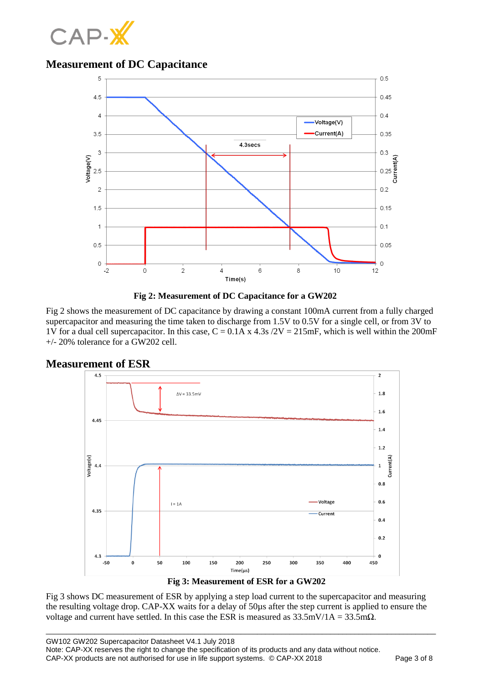

## **Measurement of DC Capacitance**





Fig 2 shows the measurement of DC capacitance by drawing a constant 100mA current from a fully charged supercapacitor and measuring the time taken to discharge from 1.5V to 0.5V for a single cell, or from 3V to 1V for a dual cell supercapacitor. In this case,  $C = 0.1A$  x 4.3s  $/2V = 215$  mF, which is well within the 200 mF +/- 20% tolerance for a GW202 cell.



**Measurement of ESR**



Fig 3 shows DC measurement of ESR by applying a step load current to the supercapacitor and measuring the resulting voltage drop. CAP-XX waits for a delay of 50µs after the step current is applied to ensure the voltage and current have settled. In this case the ESR is measured as  $33.5 \text{mV}/1\text{A} = 33.5 \text{m}\Omega$ .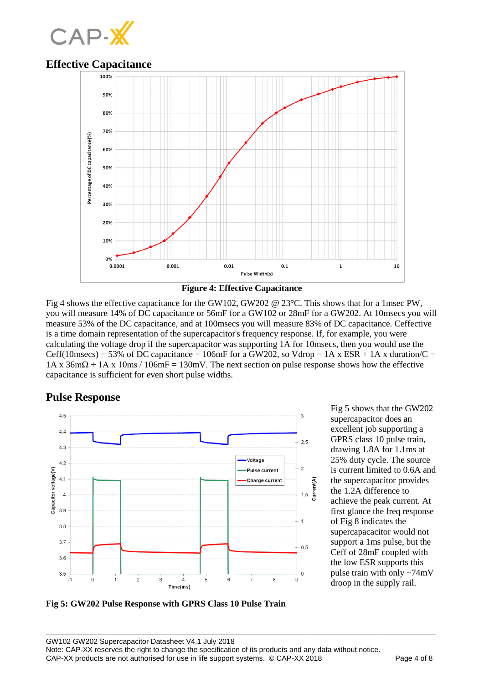

## **Effective Capacitance**





Fig 4 shows the effective capacitance for the GW102, GW202 @ 23°C. This shows that for a 1msec PW, you will measure 14% of DC capacitance or 56mF for a GW102 or 28mF for a GW202. At 10msecs you will measure 53% of the DC capacitance, and at 100msecs you will measure 83% of DC capacitance. Ceffective is a time domain representation of the supercapacitor's frequency response. If, for example, you were calculating the voltage drop if the supercapacitor was supporting 1A for 10msecs, then you would use the Ceff(10msecs) = 53% of DC capacitance = 106mF for a GW202, so Vdrop = 1A x ESR + 1A x duration/C =  $1A \times 36m\Omega + 1A \times 10ms / 106mF = 130mV$ . The next section on pulse response shows how the effective capacitance is sufficient for even short pulse widths.

## **Pulse Response**



Fig 5 shows that the GW202 supercapacitor does an excellent job supporting a GPRS class 10 pulse train, drawing 1.8A for 1.1ms at 25% duty cycle. The source is current limited to 0.6A and the supercapacitor provides the 1.2A difference to achieve the peak current. At first glance the freq response of Fig 8 indicates the supercapacacitor would not support a 1ms pulse, but the Ceff of 28mF coupled with the low ESR supports this pulse train with only ~74mV droop in the supply rail.

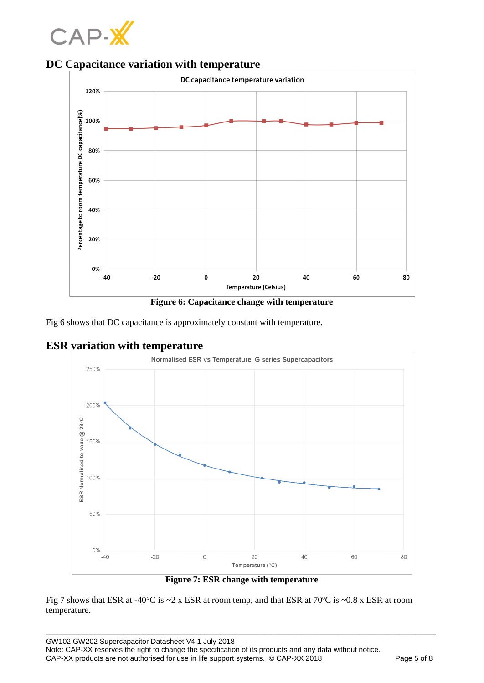



**DC Capacitance variation with temperature**



Fig 6 shows that DC capacitance is approximately constant with temperature.

## **ESR variation with temperature**



Fig 7 shows that ESR at -40°C is ~2 x ESR at room temp, and that ESR at 70ºC is ~0.8 x ESR at room temperature.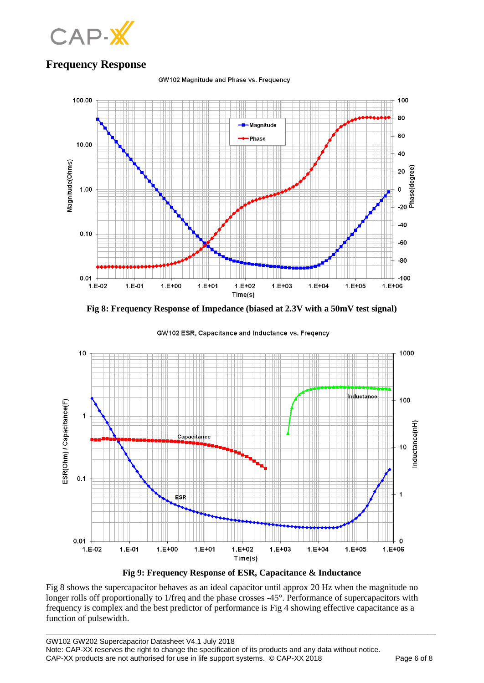

# **Frequency Response**

GW102 Magnitude and Phase vs. Frequency



**Fig 8: Frequency Response of Impedance (biased at 2.3V with a 50mV test signal)**



GW102 ESR, Capacitance and Inductance vs. Freqency



Fig 8 shows the supercapacitor behaves as an ideal capacitor until approx 20 Hz when the magnitude no longer rolls off proportionally to 1/freq and the phase crosses -45°. Performance of supercapacitors with frequency is complex and the best predictor of performance is Fig 4 showing effective capacitance as a function of pulsewidth.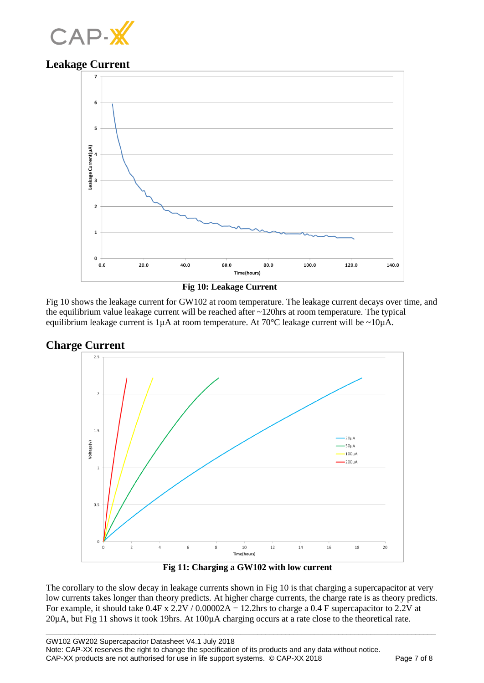

## **Leakage Current**



 **Fig 10: Leakage Current**

Fig 10 shows the leakage current for GW102 at room temperature. The leakage current decays over time, and the equilibrium value leakage current will be reached after ~120hrs at room temperature. The typical equilibrium leakage current is  $1\mu A$  at room temperature. At 70°C leakage current will be ~10 $\mu A$ .





 **Fig 11: Charging a GW102 with low current**

The corollary to the slow decay in leakage currents shown in Fig 10 is that charging a supercapacitor at very low currents takes longer than theory predicts. At higher charge currents, the charge rate is as theory predicts. For example, it should take  $0.4F \times 2.2V / 0.00002A = 12.2hr$  to charge a 0.4 F supercapacitor to 2.2V at 20µA, but Fig 11 shows it took 19hrs. At 100µA charging occurs at a rate close to the theoretical rate.